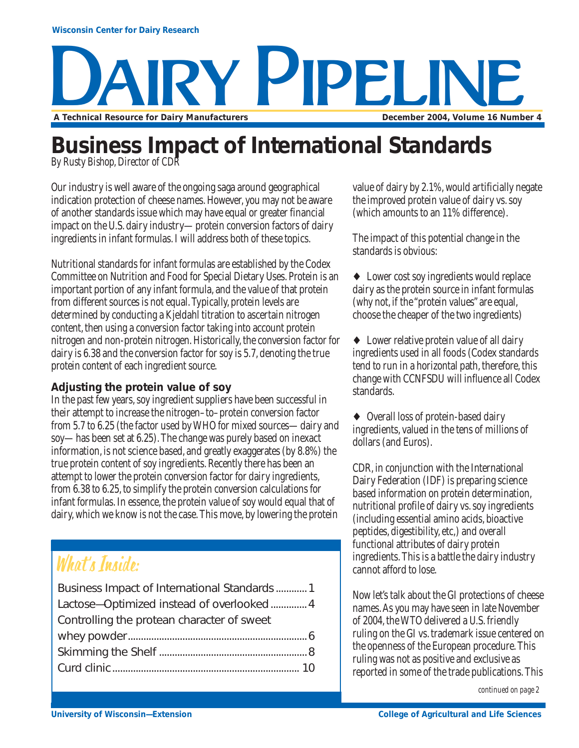## **RY PIPELINE A Technical Resource for Dairy Manufacturers December 2004, Volume 16 Number 4**

## **Business Impact of International Standards**

*By Rusty Bishop, Director of CDR*

Our industry is well aware of the ongoing saga around geographical indication protection of cheese names. However, you may not be aware of another standards issue which may have equal or greater financial impact on the U.S. dairy industry—protein conversion factors of dairy ingredients in infant formulas. I will address both of these topics.

Nutritional standards for infant formulas are established by the Codex Committee on Nutrition and Food for Special Dietary Uses. Protein is an important portion of any infant formula, and the value of that protein from different sources is not equal. Typically, protein levels are determined by conducting a Kjeldahl titration to ascertain nitrogen content, then using a conversion factor taking into account protein nitrogen and non-protein nitrogen. Historically, the conversion factor for dairy is 6.38 and the conversion factor for soy is 5.7, denoting the true protein content of each ingredient source.

#### **Adjusting the protein value of soy**

In the past few years, soy ingredient suppliers have been successful in their attempt to increase the nitrogen–to–protein conversion factor from 5.7 to 6.25 (the factor used by WHO for mixed sources—dairy and soy—has been set at 6.25). The change was purely based on inexact information, is not science based, and greatly exaggerates (by 8.8%) the true protein content of soy ingredients. Recently there has been an attempt to lower the protein conversion factor for dairy ingredients, from 6.38 to 6.25, to simplify the protein conversion calculations for infant formulas. In essence, the protein value of soy would equal that of dairy, which we know is not the case. This move, by lowering the protein

## What's Inside:

| Business Impact of International Standards  1 |  |
|-----------------------------------------------|--|
| Lactose-Optimized instead of overlooked 4     |  |
| Controlling the protean character of sweet    |  |
|                                               |  |
|                                               |  |
|                                               |  |
|                                               |  |

value of dairy by 2.1%, would artificially negate the improved protein value of dairy vs. soy (which amounts to an 11% difference).

The impact of this potential change in the standards is obvious:

♦ Lower cost soy ingredients would replace dairy as the protein source in infant formulas (why not, if the "protein values" are equal, choose the cheaper of the two ingredients)

♦ Lower relative protein value of all dairy ingredients used in all foods (Codex standards tend to run in a horizontal path, therefore, this change with CCNFSDU will influence all Codex standards.

♦ Overall loss of protein-based dairy ingredients, valued in the tens of millions of dollars (and Euros).

CDR, in conjunction with the International Dairy Federation (IDF) is preparing science based information on protein determination, nutritional profile of dairy vs. soy ingredients (including essential amino acids, bioactive peptides, digestibility, etc,) and overall functional attributes of dairy protein ingredients. This is a battle the dairy industry cannot afford to lose.

Now let's talk about the GI protections of cheese names. As you may have seen in late November of 2004, the WTO delivered a U.S. friendly ruling on the GI vs. trademark issue centered on the openness of the European procedure. This ruling was not as positive and exclusive as reported in some of the trade publications. This

*continued on page 2*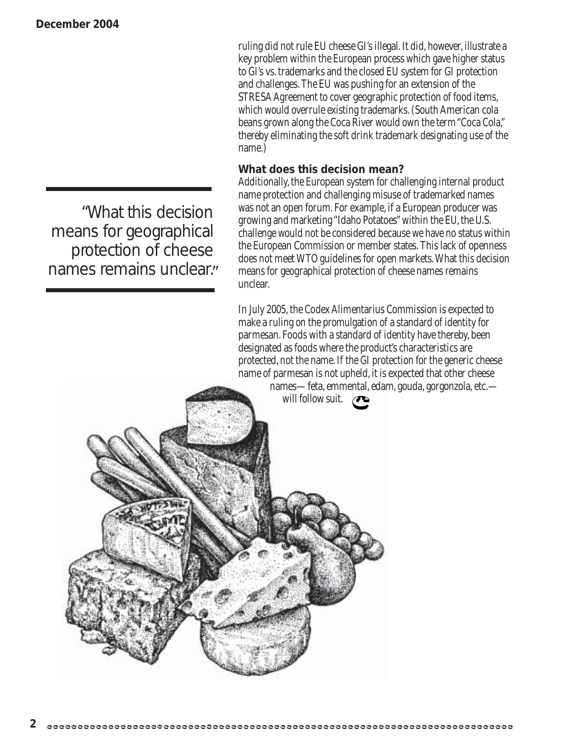ruling did not rule EU cheese GI's illegal. It did, however, illustrate a key problem within the European process which gave higher status to GI's vs. trademarks and the closed EU system for GI protection and challenges. The EU was pushing for an extension of the STRESA Agreement to cover geographic protection of food items, which would overrule existing trademarks. (South American cola beans grown along the Coca River would own the term "Coca Cola," thereby eliminating the soft drink trademark designating use of the name.)

#### **What does this decision mean?**

Additionally, the European system for challenging internal product name protection and challenging misuse of trademarked names was not an open forum. For example, if a European producer was growing and marketing "Idaho Potatoes" within the EU, the U.S. challenge would not be considered because we have no status within the European Commission or member states. This lack of openness does not meet WTO guidelines for open markets. What this decision means for geographical protection of cheese names remains unclear.

In July 2005, the Codex Alimentarius Commission is expected to make a ruling on the promulgation of a standard of identity for parmesan. Foods with a standard of identity have thereby, been designated as foods where the product's characteristics are protected, not the name. If the GI protection for the generic cheese name of parmesan is not upheld, it is expected that other cheese

names—feta, emmental, edam, gouda, gorgonzola, etc. will follow suit.  $\curvearrowright$ 

"What this decision means for geographical protection of cheese names remains unclear."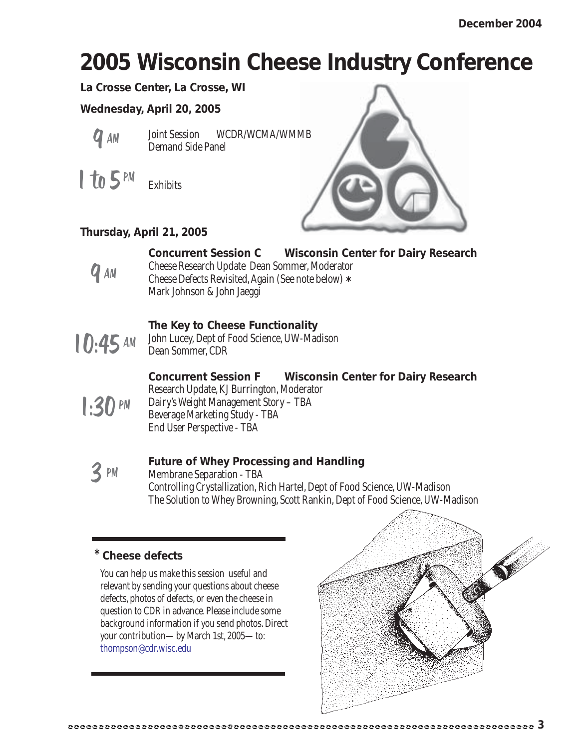## **2005 Wisconsin Cheese Industry Conference**

**La Crosse Center, La Crosse, WI**

**Wednesday, April 20, 2005**



Joint Session WCDR/WCMA/WMMB Demand Side Panel

 $1$  to 5 PM

Exhibits

#### **Thursday, April 21, 2005**



#### **Concurrent Session C Wisconsin Center for Dairy Research**

Cheese Research Update Dean Sommer, Moderator Cheese Defects Revisited, Again (See note below) **\*** Mark Johnson & John Jaeggi



#### **The Key to Cheese Functionality**

John Lucey, Dept of Food Science, UW-Madison Dean Sommer, CDR

 $1:30$  PM

**Concurrent Session F Wisconsin Center for Dairy Research** Research Update, KJ Burrington, Moderator Dairy's Weight Management Story – TBA Beverage Marketing Study - TBA End User Perspective - TBA

3 PM

#### **Future of Whey Processing and Handling**

Membrane Separation - TBA Controlling Crystallization, Rich Hartel, Dept of Food Science, UW-Madison The Solution to Whey Browning, Scott Rankin, Dept of Food Science, UW-Madison

#### **\* Cheese defects**

You can help us make this session useful and relevant by sending your questions about cheese defects, photos of defects, or even the cheese in question to CDR in advance. Please include some background information if you send photos. Direct your contribution—by March 1st, 2005—to: thompson@cdr.wisc.edu



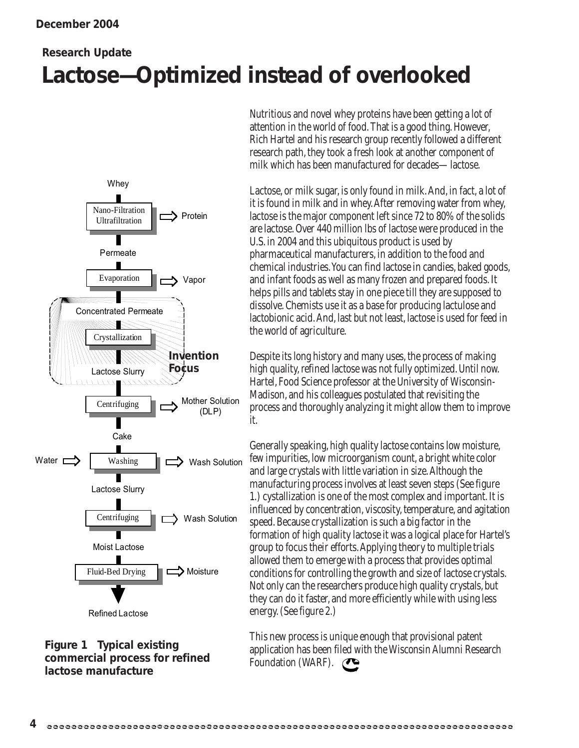### **Lactose—Optimized instead of overlooked Research Update**





Nutritious and novel whey proteins have been getting a lot of attention in the world of food. That is a good thing. However, Rich Hartel and his research group recently followed a different research path, they took a fresh look at another component of milk which has been manufactured for decades—lactose.

Lactose, or milk sugar, is only found in milk. And, in fact, a lot of it is found in milk and in whey. After removing water from whey, lactose is the major component left since 72 to 80% of the solids are lactose. Over 440 million lbs of lactose were produced in the U.S. in 2004 and this ubiquitous product is used by pharmaceutical manufacturers, in addition to the food and chemical industries. You can find lactose in candies, baked goods, and infant foods as well as many frozen and prepared foods. It helps pills and tablets stay in one piece till they are supposed to dissolve. Chemists use it as a base for producing lactulose and lactobionic acid. And, last but not least, lactose is used for feed in the world of agriculture.

Despite its long history and many uses, the process of making high quality, refined lactose was not fully optimized. Until now. Hartel, Food Science professor at the University of Wisconsin-Madison, and his colleagues postulated that revisiting the process and thoroughly analyzing it might allow them to improve it.

Generally speaking, high quality lactose contains low moisture, few impurities, low microorganism count, a bright white color and large crystals with little variation in size. Although the manufacturing process involves at least seven steps (See figure 1.) cystallization is one of the most complex and important. It is influenced by concentration, viscosity, temperature, and agitation speed. Because crystallization is such a big factor in the formation of high quality lactose it was a logical place for Hartel's group to focus their efforts. Applying theory to multiple trials allowed them to emerge with a process that provides optimal conditions for controlling the growth and size of lactose crystals. Not only can the researchers produce high quality crystals, but they can do it faster, and more efficiently while with using less energy. (See figure 2.)

This new process is unique enough that provisional patent application has been filed with the Wisconsin Alumni Research Foundation (WARF).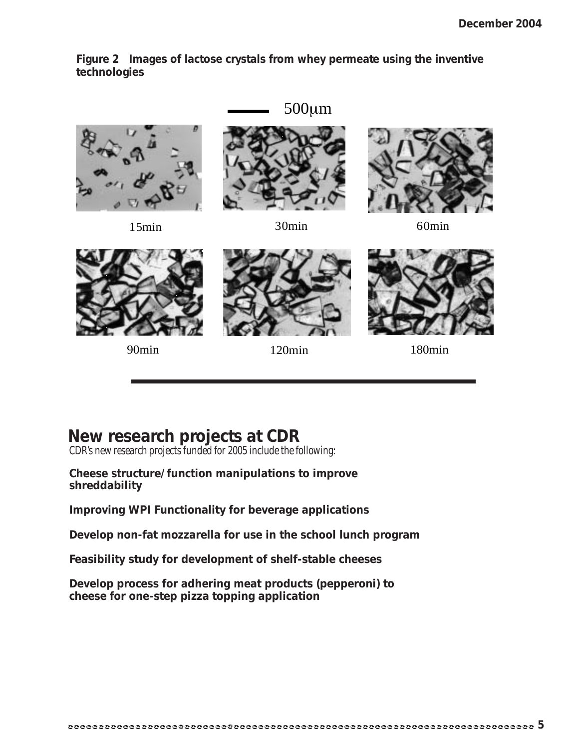**Figure 2 Images of lactose crystals from whey permeate using the inventive technologies**

15min 30min 30min 60min 500µm



90min 120min 180min

#### **New research projects at CDR**

CDR's new research projects funded for 2005 include the following:

#### **Cheese structure/function manipulations to improve shreddability**

**Improving WPI Functionality for beverage applications**

**Develop non-fat mozzarella for use in the school lunch program**

**Feasibility study for development of shelf-stable cheeses**

**Develop process for adhering meat products (pepperoni) to cheese for one-step pizza topping application**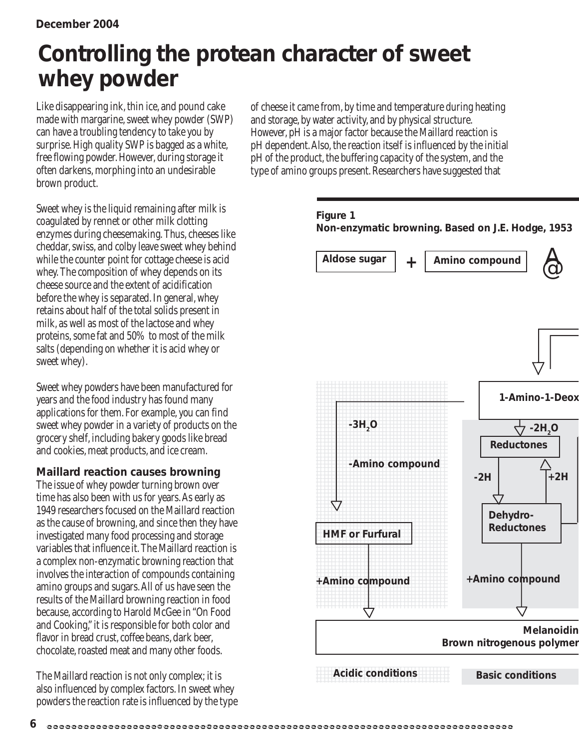## **Controlling the protean character of sweet whey powder**

Like disappearing ink, thin ice, and pound cake made with margarine, sweet whey powder (SWP) can have a troubling tendency to take you by surprise. High quality SWP is bagged as a white, free flowing powder. However, during storage it often darkens, morphing into an undesirable brown product.

Sweet whey is the liquid remaining after milk is coagulated by rennet or other milk clotting enzymes during cheesemaking. Thus, cheeses like cheddar, swiss, and colby leave sweet whey behind while the counter point for cottage cheese is acid whey. The composition of whey depends on its cheese source and the extent of acidification before the whey is separated. In general, whey retains about half of the total solids present in milk, as well as most of the lactose and whey proteins, some fat and 50% to most of the milk salts (depending on whether it is acid whey or sweet whey).

Sweet whey powders have been manufactured for years and the food industry has found many applications for them. For example, you can find sweet whey powder in a variety of products on the grocery shelf, including bakery goods like bread and cookies, meat products, and ice cream.

#### **Maillard reaction causes browning**

The issue of whey powder turning brown over time has also been with us for years. As early as 1949 researchers focused on the Maillard reaction as the cause of browning, and since then they have investigated many food processing and storage variables that influence it. The Maillard reaction is a complex non-enzymatic browning reaction that involves the interaction of compounds containing amino groups and sugars. All of us have seen the results of the Maillard browning reaction in food because, according to Harold McGee in "On Food and Cooking," it is responsible for both color and flavor in bread crust, coffee beans, dark beer, chocolate, roasted meat and many other foods.

The Maillard reaction is not only complex; it is also influenced by complex factors. In sweet whey powders the reaction rate is influenced by the type

**6**

of cheese it came from, by time and temperature during heating and storage, by water activity, and by physical structure. However, pH is a major factor because the Maillard reaction is pH dependent. Also, the reaction itself is influenced by the initial pH of the product, the buffering capacity of the system, and the type of amino groups present. Researchers have suggested that

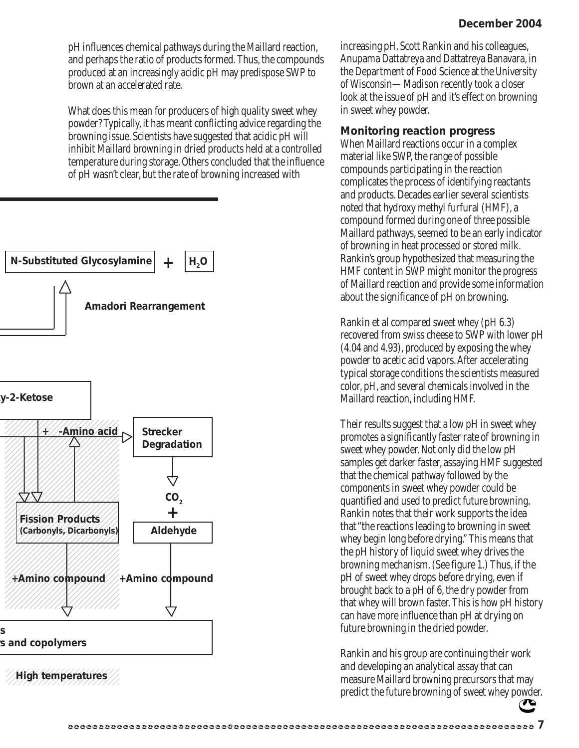pH influences chemical pathways during the Maillard reaction, and perhaps the ratio of products formed. Thus, the compounds produced at an increasingly acidic pH may predispose SWP to brown at an accelerated rate.

What does this mean for producers of high quality sweet whey powder? Typically, it has meant conflicting advice regarding the browning issue. Scientists have suggested that acidic pH will inhibit Maillard browning in dried products held at a controlled temperature during storage. Others concluded that the influence of pH wasn't clear, but the rate of browning increased with



increasing pH. Scott Rankin and his colleagues, Anupama Dattatreya and Dattatreya Banavara, in the Department of Food Science at the University of Wisconsin—Madison recently took a closer look at the issue of pH and it's effect on browning in sweet whey powder.

#### **Monitoring reaction progress**

When Maillard reactions occur in a complex material like SWP, the range of possible compounds participating in the reaction complicates the process of identifying reactants and products. Decades earlier several scientists noted that hydroxy methyl furfural (HMF), a compound formed during one of three possible Maillard pathways, seemed to be an early indicator of browning in heat processed or stored milk. Rankin's group hypothesized that measuring the HMF content in SWP might monitor the progress of Maillard reaction and provide some information about the significance of pH on browning.

Rankin et al compared sweet whey (pH 6.3) recovered from swiss cheese to SWP with lower pH (4.04 and 4.93), produced by exposing the whey powder to acetic acid vapors. After accelerating typical storage conditions the scientists measured color, pH, and several chemicals involved in the Maillard reaction, including HMF.

Their results suggest that a low pH in sweet whey promotes a significantly faster rate of browning in sweet whey powder. Not only did the low pH samples get darker faster, assaying HMF suggested that the chemical pathway followed by the components in sweet whey powder could be quantified and used to predict future browning. Rankin notes that their work supports the idea that "the reactions leading to browning in sweet whey begin long before drying." This means that the pH history of liquid sweet whey drives the browning mechanism. (See figure 1.) Thus, if the pH of sweet whey drops before drying, even if brought back to a pH of 6, the dry powder from that whey will brown faster. This is how pH history can have more influence than pH at drying on future browning in the dried powder.

Rankin and his group are continuing their work and developing an analytical assay that can measure Maillard browning precursors that may predict the future browning of sweet whey powder.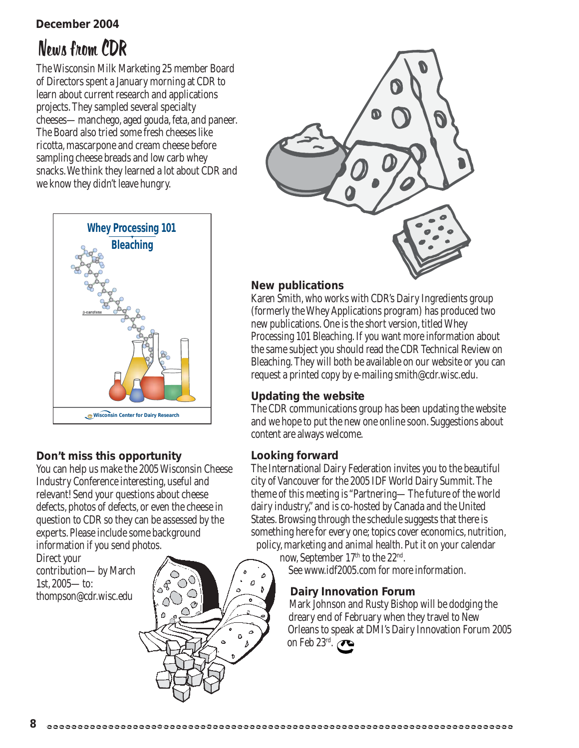#### **December 2004**

## News from CDR

The Wisconsin Milk Marketing 25 member Board of Directors spent a January morning at CDR to learn about current research and applications projects. They sampled several specialty cheeses—manchego, aged gouda, feta, and paneer. The Board also tried some fresh cheeses like ricotta, mascarpone and cream cheese before sampling cheese breads and low carb whey snacks. We think they learned a lot about CDR and we know they didn't leave hungry.



#### **Don't miss this opportunity**

You can help us make the 2005 Wisconsin Cheese Industry Conference interesting, useful and relevant! Send your questions about cheese defects, photos of defects, or even the cheese in question to CDR so they can be assessed by the experts. Please include some background information if you send photos.

Direct your contribution—by March 1st, 2005—to: thompson@cdr.wisc.edu





#### **New publications**

Karen Smith, who works with CDR's Dairy Ingredients group (formerly the Whey Applications program) has produced two new publications. One is the short version, titled Whey Processing 101 Bleaching. If you want more information about the same subject you should read the CDR Technical Review on Bleaching. They will both be available on our website or you can request a printed copy by e-mailing smith@cdr.wisc.edu.

#### **Updating the website**

The CDR communications group has been updating the website and we hope to put the new one online soon. Suggestions about content are always welcome.

#### **Looking forward**

The International Dairy Federation invites you to the beautiful city of Vancouver for the 2005 IDF World Dairy Summit. The theme of this meeting is "Partnering—The future of the world dairy industry," and is co-hosted by Canada and the United States. Browsing through the schedule suggests that there is something here for every one; topics cover economics, nutrition, policy, marketing and animal health. Put it on your calendar

now, September 17th to the 22<sup>nd</sup>. See www.idf2005.com for more information.

#### **Dairy Innovation Forum**

Mark Johnson and Rusty Bishop will be dodging the dreary end of February when they travel to New Orleans to speak at DMI's Dairy Innovation Forum 2005 on Feb  $23^{\text{rd}}$ .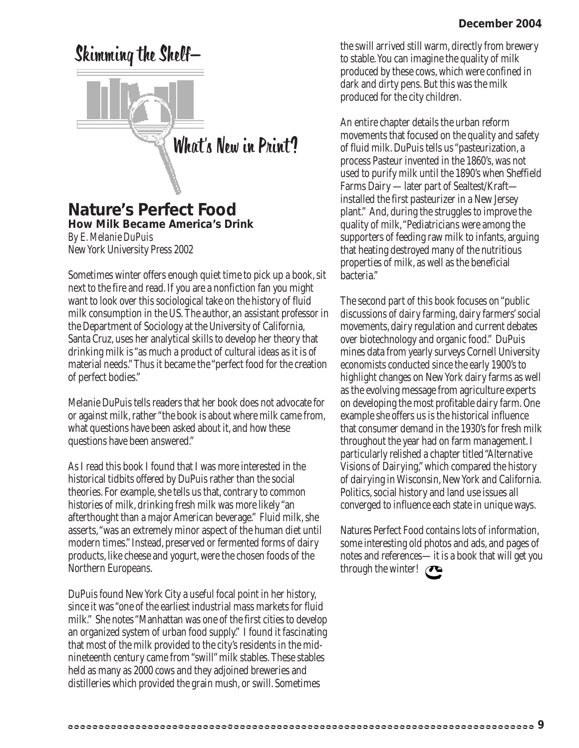# Skimming the Shelf— What's New in Print?

#### **Nature's Perfect Food** *How Milk Became America's Drink*

*By E. Melanie DuPuis* New York University Press 2002

Sometimes winter offers enough quiet time to pick up a book, sit next to the fire and read. If you are a nonfiction fan you might want to look over this sociological take on the history of fluid milk consumption in the US. The author, an assistant professor in the Department of Sociology at the University of California, Santa Cruz, uses her analytical skills to develop her theory that drinking milk is "as much a product of cultural ideas as it is of material needs." Thus it became the "perfect food for the creation of perfect bodies."

Melanie DuPuis tells readers that her book does not advocate for or against milk, rather "the book is about where milk came from, what questions have been asked about it, and how these questions have been answered."

As I read this book I found that I was more interested in the historical tidbits offered by DuPuis rather than the social theories. For example, she tells us that, contrary to common histories of milk, drinking fresh milk was more likely "an afterthought than a major American beverage." Fluid milk, she asserts, "was an extremely minor aspect of the human diet until modern times." Instead, preserved or fermented forms of dairy products, like cheese and yogurt, were the chosen foods of the Northern Europeans.

DuPuis found New York City a useful focal point in her history, since it was "one of the earliest industrial mass markets for fluid milk." She notes "Manhattan was one of the first cities to develop an organized system of urban food supply." I found it fascinating that most of the milk provided to the city's residents in the midnineteenth century came from "swill" milk stables. These stables held as many as 2000 cows and they adjoined breweries and distilleries which provided the grain mush, or swill. Sometimes

the swill arrived still warm, directly from brewery to stable. You can imagine the quality of milk produced by these cows, which were confined in dark and dirty pens. But this was the milk produced for the city children.

An entire chapter details the urban reform movements that focused on the quality and safety of fluid milk. DuPuis tells us "pasteurization, a process Pasteur invented in the 1860's, was not used to purify milk until the 1890's when Sheffield Farms Dairy —later part of Sealtest/Kraft installed the first pasteurizer in a New Jersey plant." And, during the struggles to improve the quality of milk, "Pediatricians were among the supporters of feeding raw milk to infants, arguing that heating destroyed many of the nutritious properties of milk, as well as the beneficial bacteria."

The second part of this book focuses on "public discussions of dairy farming, dairy farmers' social movements, dairy regulation and current debates over biotechnology and organic food." DuPuis mines data from yearly surveys Cornell University economists conducted since the early 1900's to highlight changes on New York dairy farms as well as the evolving message from agriculture experts on developing the most profitable dairy farm. One example she offers us is the historical influence that consumer demand in the 1930's for fresh milk throughout the year had on farm management. I particularly relished a chapter titled "Alternative Visions of Dairying," which compared the history of dairying in Wisconsin, New York and California. Politics, social history and land use issues all converged to influence each state in unique ways.

Natures Perfect Food contains lots of information, some interesting old photos and ads, and pages of notes and references—it is a book that will get you through the winter!  $\curvearrowright$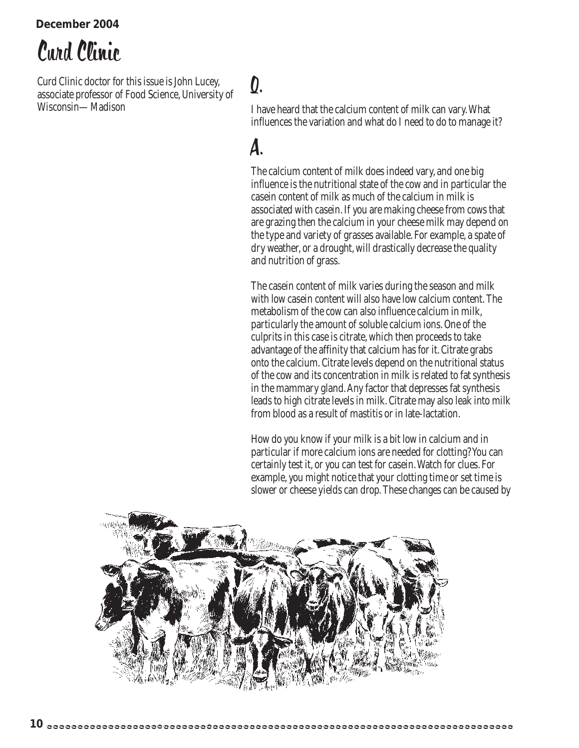**December 2004**

## Curd Clinic

Curd Clinic doctor for this issue is John Lucey, associate professor of Food Science, University of Wisconsin—Madison

## Q.

I have heard that the calcium content of milk can vary. What influences the variation and what do I need to do to manage it?

## A.

The calcium content of milk does indeed vary, and one big influence is the nutritional state of the cow and in particular the casein content of milk as much of the calcium in milk is associated with casein. If you are making cheese from cows that are grazing then the calcium in your cheese milk may depend on the type and variety of grasses available. For example, a spate of dry weather, or a drought, will drastically decrease the quality and nutrition of grass.

The casein content of milk varies during the season and milk with low casein content will also have low calcium content. The metabolism of the cow can also influence calcium in milk, particularly the amount of soluble calcium ions. One of the culprits in this case is citrate, which then proceeds to take advantage of the affinity that calcium has for it. Citrate grabs onto the calcium. Citrate levels depend on the nutritional status of the cow and its concentration in milk is related to fat synthesis in the mammary gland. Any factor that depresses fat synthesis leads to high citrate levels in milk. Citrate may also leak into milk from blood as a result of mastitis or in late-lactation.

How do you know if your milk is a bit low in calcium and in particular if more calcium ions are needed for clotting? You can certainly test it, or you can test for casein. Watch for clues. For example, you might notice that your clotting time or set time is slower or cheese yields can drop. These changes can be caused by

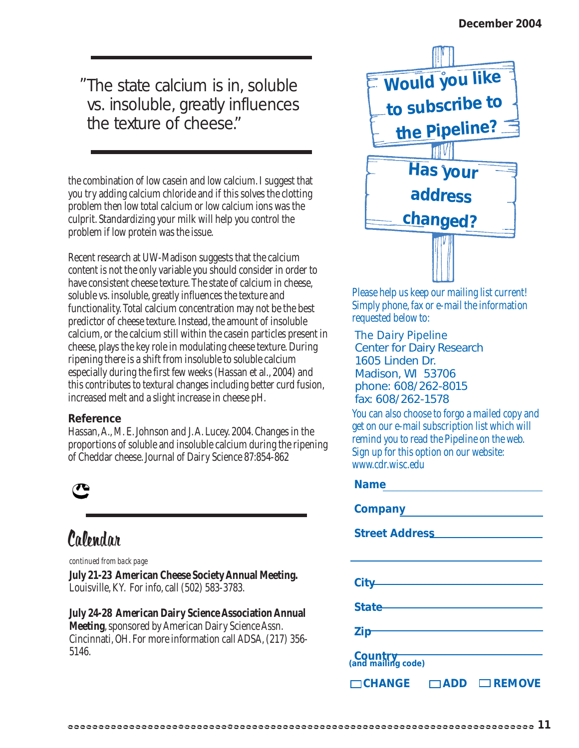The state calcium is in, soluble " vs. insoluble, greatly influences the texture of cheese"

the combination of low casein and low calcium. I suggest that you try adding calcium chloride and if this solves the clotting problem then low total calcium or low calcium ions was the culprit. Standardizing your milk will help you control the problem if low protein was the issue.

Recent research at UW-Madison suggests that the calcium content is not the only variable you should consider in order to have consistent cheese texture. The state of calcium in cheese, soluble vs. insoluble, greatly influences the texture and functionality. Total calcium concentration may not be the best predictor of cheese texture. Instead, the amount of insoluble calcium, or the calcium still within the casein particles present in cheese, plays the key role in modulating cheese texture. During ripening there is a shift from insoluble to soluble calcium especially during the first few weeks (Hassan et al., 2004) and this contributes to textural changes including better curd fusion, increased melt and a slight increase in cheese pH.

#### **Reference**

Hassan, A., M. E. Johnson and J. A. Lucey. 2004. Changes in the proportions of soluble and insoluble calcium during the ripening of Cheddar cheese. Journal of Dairy Science 87:854-862



## Calendar

*continued from back page*

**July 21-23 American Cheese Society Annual Meeting.** Louisville, KY. For info, call (502) 583-3783.

**July 24-28 American Dairy Science Association Annual Meeting**, sponsored by American Dairy Science Assn. Cincinnati, OH. For more information call ADSA, (217) 356- 5146.



Please help us keep our mailing list current! Simply phone, fax or e-mail the information requested below to:

*The Dairy Pipeline* Center for Dairy Research 1605 Linden Dr. Madison, WI 53706 phone: 608/262-8015 fax: 608/262-1578

You can also choose to forgo a mailed copy and get on our e-mail subscription list which will remind you to read the Pipeline on the web. Sign up for this option on our website: www.cdr.wisc.edu

#### **Name**